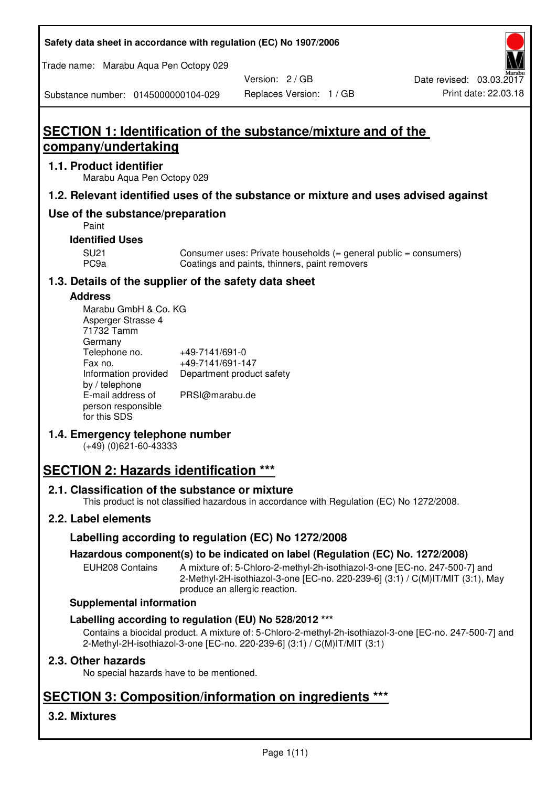| Safety data sheet in accordance with regulation (EC) No 1907/2006 |  |
|-------------------------------------------------------------------|--|
|-------------------------------------------------------------------|--|

Trade name: Marabu Aqua Pen Octopy 029

Version: 2 / GB

Substance number: 0145000000104-029

# **SECTION 1: Identification of the substance/mixture and of the company/undertaking**

# **1.1. Product identifier**

Marabu Aqua Pen Octopy 029

# **1.2. Relevant identified uses of the substance or mixture and uses advised against**

# **Use of the substance/preparation**

Paint

### **Identified Uses**

SU21 Consumer uses: Private households (= general public = consumers)<br>PC9a Coatings and paints, thinners, paint removers Coatings and paints, thinners, paint removers

# **1.3. Details of the supplier of the safety data sheet**

### **Address**

| Marabu GmbH & Co. KG |                           |
|----------------------|---------------------------|
| Asperger Strasse 4   |                           |
| 71732 Tamm           |                           |
| Germany              |                           |
| Telephone no.        | +49-7141/691-0            |
| Fax no.              | +49-7141/691-147          |
| Information provided | Department product safety |
| by / telephone       |                           |
| E-mail address of    | PRSI@marabu.de            |
| person responsible   |                           |
| for this SDS         |                           |

# **1.4. Emergency telephone number**

(+49) (0)621-60-43333

# **SECTION 2: Hazards identification \*\*\***

# **2.1. Classification of the substance or mixture**

This product is not classified hazardous in accordance with Regulation (EC) No 1272/2008.

# **2.2. Label elements**

# **Labelling according to regulation (EC) No 1272/2008**

# **Hazardous component(s) to be indicated on label (Regulation (EC) No. 1272/2008)**

EUH208 Contains A mixture of: 5-Chloro-2-methyl-2h-isothiazol-3-one [EC-no. 247-500-7] and 2-Methyl-2H-isothiazol-3-one [EC-no. 220-239-6] (3:1) / C(M)IT/MIT (3:1), May produce an allergic reaction.

#### **Supplemental information**

# **Labelling according to regulation (EU) No 528/2012 \*\*\***

Contains a biocidal product. A mixture of: 5-Chloro-2-methyl-2h-isothiazol-3-one [EC-no. 247-500-7] and 2-Methyl-2H-isothiazol-3-one [EC-no. 220-239-6] (3:1) / C(M)IT/MIT (3:1)

# **2.3. Other hazards**

No special hazards have to be mentioned.

# **SECTION 3: Composition/information on ingredients \*\*\***

# **3.2. Mixtures**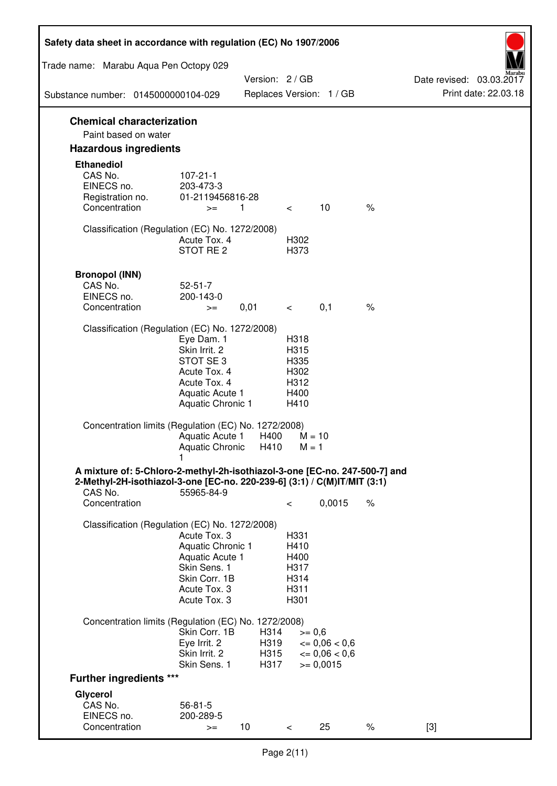| Safety data sheet in accordance with regulation (EC) No 1907/2006                                                                                                 |                                                                                                                       |                              |                                                      |                                                                  |      |                                                  |
|-------------------------------------------------------------------------------------------------------------------------------------------------------------------|-----------------------------------------------------------------------------------------------------------------------|------------------------------|------------------------------------------------------|------------------------------------------------------------------|------|--------------------------------------------------|
| Trade name: Marabu Aqua Pen Octopy 029                                                                                                                            |                                                                                                                       |                              |                                                      |                                                                  |      |                                                  |
| Substance number: 0145000000104-029                                                                                                                               |                                                                                                                       | Version: 2 / GB              |                                                      | Replaces Version: 1 / GB                                         |      | Date revised: 03.03.2017<br>Print date: 22.03.18 |
|                                                                                                                                                                   |                                                                                                                       |                              |                                                      |                                                                  |      |                                                  |
| <b>Chemical characterization</b><br>Paint based on water                                                                                                          |                                                                                                                       |                              |                                                      |                                                                  |      |                                                  |
| <b>Hazardous ingredients</b>                                                                                                                                      |                                                                                                                       |                              |                                                      |                                                                  |      |                                                  |
| <b>Ethanediol</b><br>CAS No.<br>EINECS no.<br>Registration no.<br>Concentration                                                                                   | $107 - 21 - 1$<br>203-473-3<br>01-2119456816-28<br>$>=$                                                               | 1                            | $\lt$ $\sim$                                         | 10                                                               | $\%$ |                                                  |
| Classification (Regulation (EC) No. 1272/2008)                                                                                                                    | Acute Tox. 4<br>STOT RE 2                                                                                             |                              | H302<br>H373                                         |                                                                  |      |                                                  |
| <b>Bronopol (INN)</b><br>CAS No.<br>EINECS no.<br>Concentration                                                                                                   | $52 - 51 - 7$<br>200-143-0<br>$>=$                                                                                    | 0,01                         | $\lt$ $\sim$                                         | 0,1                                                              | $\%$ |                                                  |
| Classification (Regulation (EC) No. 1272/2008)                                                                                                                    |                                                                                                                       |                              |                                                      |                                                                  |      |                                                  |
|                                                                                                                                                                   | Eye Dam. 1<br>Skin Irrit. 2<br>STOT SE3<br>Acute Tox. 4<br>Acute Tox. 4<br>Aquatic Acute 1<br>Aquatic Chronic 1       |                              | H318<br>H315<br>H335<br>H302<br>H312<br>H400<br>H410 |                                                                  |      |                                                  |
| Concentration limits (Regulation (EC) No. 1272/2008)                                                                                                              | Aquatic Acute 1<br>Aquatic Chronic $H410$ M = 1                                                                       | H400                         | $M = 10$                                             |                                                                  |      |                                                  |
| A mixture of: 5-Chloro-2-methyl-2h-isothiazol-3-one [EC-no. 247-500-7] and<br>2-Methyl-2H-isothiazol-3-one [EC-no. 220-239-6] (3:1) / C(M)IT/MIT (3:1)<br>CAS No. | 55965-84-9                                                                                                            |                              |                                                      |                                                                  |      |                                                  |
| Concentration                                                                                                                                                     |                                                                                                                       |                              | $\,<\,$                                              | 0,0015                                                           | $\%$ |                                                  |
| Classification (Regulation (EC) No. 1272/2008)                                                                                                                    | Acute Tox. 3<br>Aquatic Chronic 1<br>Aquatic Acute 1<br>Skin Sens. 1<br>Skin Corr. 1B<br>Acute Tox. 3<br>Acute Tox. 3 |                              | H331<br>H410<br>H400<br>H317<br>H314<br>H311<br>H301 |                                                                  |      |                                                  |
| Concentration limits (Regulation (EC) No. 1272/2008)                                                                                                              |                                                                                                                       |                              |                                                      |                                                                  |      |                                                  |
|                                                                                                                                                                   | Skin Corr. 1B<br>Eye Irrit. 2<br>Skin Irrit. 2<br>Skin Sens. 1                                                        | H314<br>H319<br>H315<br>H317 | $>= 0,6$                                             | $\epsilon = 0.06 < 0.6$<br>$\epsilon = 0.06 < 0.6$<br>$= 0,0015$ |      |                                                  |
| <b>Further ingredients ***</b>                                                                                                                                    |                                                                                                                       |                              |                                                      |                                                                  |      |                                                  |
| Glycerol<br>CAS No.<br>EINECS no.<br>Concentration                                                                                                                | $56 - 81 - 5$<br>200-289-5<br>$>=$                                                                                    | 10 <sup>°</sup>              | $\,<\,$                                              | 25                                                               | $\%$ | $[3]$                                            |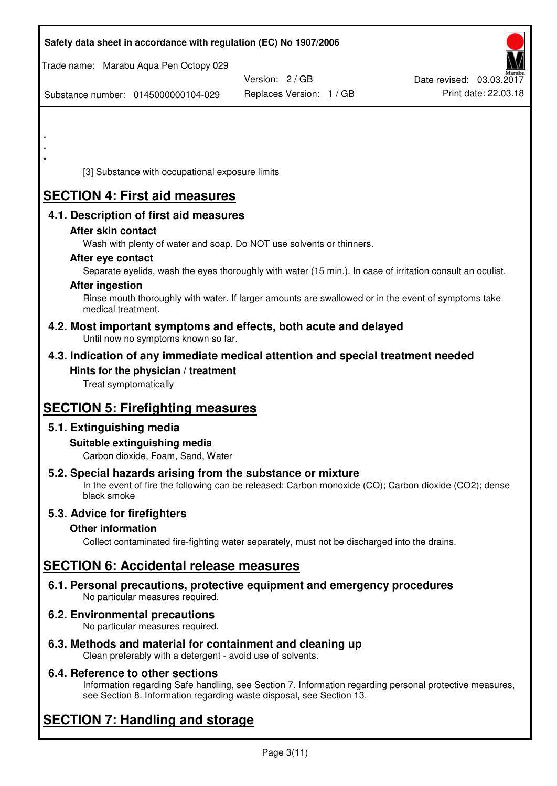| Safety data sheet in accordance with regulation (EC) No 1907/2006                                                                                                                  |                                           |                                                  |
|------------------------------------------------------------------------------------------------------------------------------------------------------------------------------------|-------------------------------------------|--------------------------------------------------|
| Trade name: Marabu Aqua Pen Octopy 029                                                                                                                                             |                                           |                                                  |
| Substance number: 0145000000104-029                                                                                                                                                | Version: 2/GB<br>Replaces Version: 1 / GB | Date revised: 03.03.2017<br>Print date: 22.03.18 |
|                                                                                                                                                                                    |                                           |                                                  |
|                                                                                                                                                                                    |                                           |                                                  |
|                                                                                                                                                                                    |                                           |                                                  |
| [3] Substance with occupational exposure limits                                                                                                                                    |                                           |                                                  |
| <b>SECTION 4: First aid measures</b>                                                                                                                                               |                                           |                                                  |
| 4.1. Description of first aid measures                                                                                                                                             |                                           |                                                  |
| After skin contact                                                                                                                                                                 |                                           |                                                  |
| Wash with plenty of water and soap. Do NOT use solvents or thinners.<br>After eye contact                                                                                          |                                           |                                                  |
| Separate eyelids, wash the eyes thoroughly with water (15 min.). In case of irritation consult an oculist.                                                                         |                                           |                                                  |
| <b>After ingestion</b><br>Rinse mouth thoroughly with water. If larger amounts are swallowed or in the event of symptoms take                                                      |                                           |                                                  |
| medical treatment.                                                                                                                                                                 |                                           |                                                  |
| 4.2. Most important symptoms and effects, both acute and delayed<br>Until now no symptoms known so far.                                                                            |                                           |                                                  |
| 4.3. Indication of any immediate medical attention and special treatment needed                                                                                                    |                                           |                                                  |
| Hints for the physician / treatment<br>Treat symptomatically                                                                                                                       |                                           |                                                  |
| <b>SECTION 5: Firefighting measures</b>                                                                                                                                            |                                           |                                                  |
| 5.1. Extinguishing media                                                                                                                                                           |                                           |                                                  |
| Suitable extinguishing media<br>Carbon dioxide, Foam, Sand, Water                                                                                                                  |                                           |                                                  |
| 5.2. Special hazards arising from the substance or mixture<br>In the event of fire the following can be released: Carbon monoxide (CO); Carbon dioxide (CO2); dense<br>black smoke |                                           |                                                  |
| 5.3. Advice for firefighters                                                                                                                                                       |                                           |                                                  |
| <b>Other information</b><br>Collect contaminated fire-fighting water separately, must not be discharged into the drains.                                                           |                                           |                                                  |
| <b>SECTION 6: Accidental release measures</b>                                                                                                                                      |                                           |                                                  |
| 6.1. Personal precautions, protective equipment and emergency procedures<br>No particular measures required.                                                                       |                                           |                                                  |
| 6.2. Environmental precautions<br>No particular measures required.                                                                                                                 |                                           |                                                  |
|                                                                                                                                                                                    |                                           |                                                  |

**6.3. Methods and material for containment and cleaning up**  Clean preferably with a detergent - avoid use of solvents.

# **6.4. Reference to other sections**

Information regarding Safe handling, see Section 7. Information regarding personal protective measures, see Section 8. Information regarding waste disposal, see Section 13.

# **SECTION 7: Handling and storage**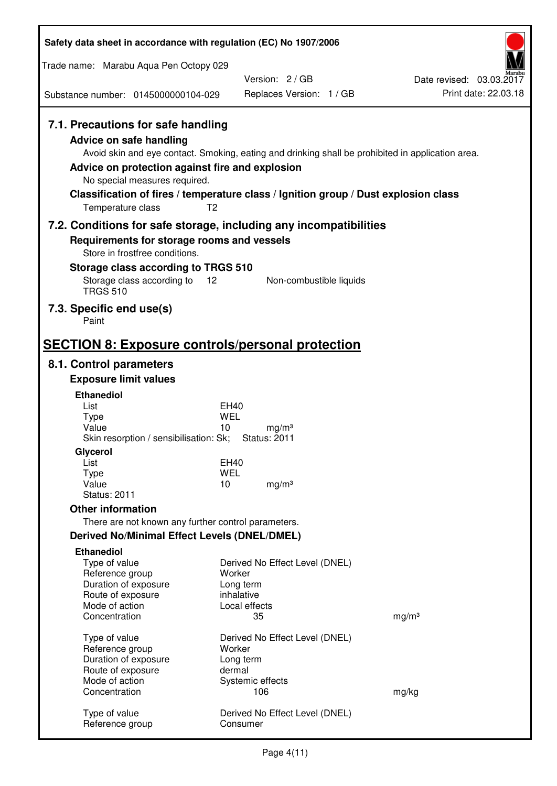| Safety data sheet in accordance with regulation (EC) No 1907/2006                                                                                                             |                                                                                                                                                                                                            |                                                  |
|-------------------------------------------------------------------------------------------------------------------------------------------------------------------------------|------------------------------------------------------------------------------------------------------------------------------------------------------------------------------------------------------------|--------------------------------------------------|
| Trade name: Marabu Aqua Pen Octopy 029                                                                                                                                        |                                                                                                                                                                                                            |                                                  |
|                                                                                                                                                                               | Version: 2/GB                                                                                                                                                                                              | Date revised: 03.03.2017<br>Print date: 22.03.18 |
| Substance number: 0145000000104-029                                                                                                                                           | Replaces Version: 1 / GB                                                                                                                                                                                   |                                                  |
| 7.1. Precautions for safe handling<br><b>Advice on safe handling</b><br>Advice on protection against fire and explosion<br>No special measures required.<br>Temperature class | Avoid skin and eye contact. Smoking, eating and drinking shall be prohibited in application area.<br>Classification of fires / temperature class / Ignition group / Dust explosion class<br>T <sub>2</sub> |                                                  |
| 7.2. Conditions for safe storage, including any incompatibilities                                                                                                             |                                                                                                                                                                                                            |                                                  |
| Requirements for storage rooms and vessels<br>Store in frostfree conditions.                                                                                                  |                                                                                                                                                                                                            |                                                  |
| Storage class according to TRGS 510                                                                                                                                           |                                                                                                                                                                                                            |                                                  |
| Storage class according to<br><b>TRGS 510</b>                                                                                                                                 | 12<br>Non-combustible liquids                                                                                                                                                                              |                                                  |
| 7.3. Specific end use(s)<br>Paint                                                                                                                                             |                                                                                                                                                                                                            |                                                  |
| <b>SECTION 8: Exposure controls/personal protection</b>                                                                                                                       |                                                                                                                                                                                                            |                                                  |
| 8.1. Control parameters                                                                                                                                                       |                                                                                                                                                                                                            |                                                  |
| <b>Exposure limit values</b>                                                                                                                                                  |                                                                                                                                                                                                            |                                                  |
| <b>Ethanediol</b><br>List                                                                                                                                                     | EH40                                                                                                                                                                                                       |                                                  |
| <b>Type</b>                                                                                                                                                                   | <b>WEL</b>                                                                                                                                                                                                 |                                                  |
| Value<br>Skin resorption / sensibilisation: Sk;                                                                                                                               | 10<br>mg/m <sup>3</sup><br><b>Status: 2011</b>                                                                                                                                                             |                                                  |
| Glycerol                                                                                                                                                                      |                                                                                                                                                                                                            |                                                  |
| List                                                                                                                                                                          | EH40                                                                                                                                                                                                       |                                                  |
| <b>Type</b><br>Value                                                                                                                                                          | <b>WEL</b><br>10<br>mg/m <sup>3</sup>                                                                                                                                                                      |                                                  |
| <b>Status: 2011</b>                                                                                                                                                           |                                                                                                                                                                                                            |                                                  |
| <b>Other information</b>                                                                                                                                                      |                                                                                                                                                                                                            |                                                  |
| There are not known any further control parameters.                                                                                                                           |                                                                                                                                                                                                            |                                                  |
| <b>Derived No/Minimal Effect Levels (DNEL/DMEL)</b>                                                                                                                           |                                                                                                                                                                                                            |                                                  |
| <b>Ethanediol</b><br>Type of value                                                                                                                                            | Derived No Effect Level (DNEL)                                                                                                                                                                             |                                                  |
| Reference group                                                                                                                                                               | Worker                                                                                                                                                                                                     |                                                  |
| Duration of exposure<br>Route of exposure                                                                                                                                     | Long term<br>inhalative                                                                                                                                                                                    |                                                  |
| Mode of action                                                                                                                                                                | Local effects                                                                                                                                                                                              |                                                  |
| Concentration                                                                                                                                                                 | 35                                                                                                                                                                                                         | mg/m <sup>3</sup>                                |
| Type of value                                                                                                                                                                 | Derived No Effect Level (DNEL)                                                                                                                                                                             |                                                  |
| Reference group                                                                                                                                                               | Worker                                                                                                                                                                                                     |                                                  |
| Duration of exposure<br>Route of exposure                                                                                                                                     | Long term<br>dermal                                                                                                                                                                                        |                                                  |
| Mode of action                                                                                                                                                                | Systemic effects                                                                                                                                                                                           |                                                  |
| Concentration                                                                                                                                                                 | 106                                                                                                                                                                                                        | mg/kg                                            |
| Type of value<br>Reference group                                                                                                                                              | Derived No Effect Level (DNEL)<br>Consumer                                                                                                                                                                 |                                                  |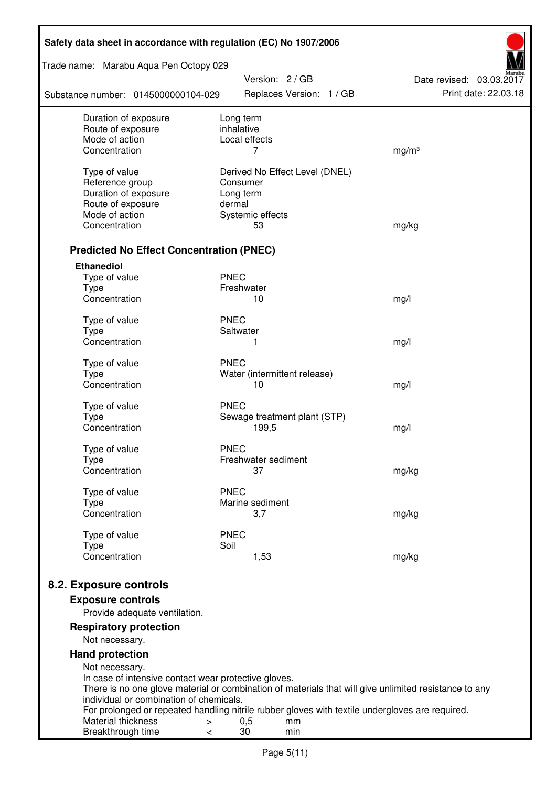| Safety data sheet in accordance with regulation (EC) No 1907/2006 |                                                                                                       |                          |  |  |  |
|-------------------------------------------------------------------|-------------------------------------------------------------------------------------------------------|--------------------------|--|--|--|
| Trade name: Marabu Aqua Pen Octopy 029                            | Version: 2 / GB                                                                                       | Date revised: 03.03.2017 |  |  |  |
| Substance number: 0145000000104-029                               | Replaces Version: 1 / GB                                                                              | Print date: 22.03.18     |  |  |  |
| Duration of exposure                                              | Long term                                                                                             |                          |  |  |  |
| Route of exposure<br>Mode of action                               | inhalative<br>Local effects                                                                           |                          |  |  |  |
| Concentration                                                     | 7                                                                                                     | mg/m <sup>3</sup>        |  |  |  |
|                                                                   |                                                                                                       |                          |  |  |  |
| Type of value                                                     | Derived No Effect Level (DNEL)                                                                        |                          |  |  |  |
| Reference group                                                   | Consumer                                                                                              |                          |  |  |  |
| Duration of exposure<br>Route of exposure                         | Long term<br>dermal                                                                                   |                          |  |  |  |
| Mode of action                                                    | Systemic effects                                                                                      |                          |  |  |  |
| Concentration                                                     | 53                                                                                                    | mg/kg                    |  |  |  |
|                                                                   |                                                                                                       |                          |  |  |  |
| <b>Predicted No Effect Concentration (PNEC)</b>                   |                                                                                                       |                          |  |  |  |
| <b>Ethanediol</b>                                                 |                                                                                                       |                          |  |  |  |
| Type of value                                                     | <b>PNEC</b>                                                                                           |                          |  |  |  |
| <b>Type</b><br>Concentration                                      | Freshwater<br>10                                                                                      |                          |  |  |  |
|                                                                   |                                                                                                       | mg/l                     |  |  |  |
| Type of value                                                     | <b>PNEC</b>                                                                                           |                          |  |  |  |
| <b>Type</b>                                                       | Saltwater                                                                                             |                          |  |  |  |
| Concentration                                                     | 1                                                                                                     | mg/l                     |  |  |  |
| Type of value                                                     | <b>PNEC</b>                                                                                           |                          |  |  |  |
| <b>Type</b>                                                       | Water (intermittent release)                                                                          |                          |  |  |  |
| Concentration                                                     | 10                                                                                                    | mg/l                     |  |  |  |
| Type of value                                                     | <b>PNEC</b>                                                                                           |                          |  |  |  |
| <b>Type</b>                                                       | Sewage treatment plant (STP)                                                                          |                          |  |  |  |
| Concentration                                                     | 199,5                                                                                                 | mg/l                     |  |  |  |
| Type of value                                                     | <b>PNEC</b>                                                                                           |                          |  |  |  |
| Type                                                              | Freshwater sediment                                                                                   |                          |  |  |  |
| Concentration                                                     | 37                                                                                                    | mg/kg                    |  |  |  |
|                                                                   | <b>PNEC</b>                                                                                           |                          |  |  |  |
| Type of value<br><b>Type</b>                                      | Marine sediment                                                                                       |                          |  |  |  |
| Concentration                                                     | 3,7                                                                                                   | mg/kg                    |  |  |  |
|                                                                   |                                                                                                       |                          |  |  |  |
| Type of value<br><b>Type</b>                                      | <b>PNEC</b><br>Soil                                                                                   |                          |  |  |  |
| Concentration                                                     | 1,53                                                                                                  | mg/kg                    |  |  |  |
|                                                                   |                                                                                                       |                          |  |  |  |
| 8.2. Exposure controls                                            |                                                                                                       |                          |  |  |  |
| <b>Exposure controls</b>                                          |                                                                                                       |                          |  |  |  |
| Provide adequate ventilation.                                     |                                                                                                       |                          |  |  |  |
| <b>Respiratory protection</b>                                     |                                                                                                       |                          |  |  |  |
| Not necessary.                                                    |                                                                                                       |                          |  |  |  |
| <b>Hand protection</b>                                            |                                                                                                       |                          |  |  |  |
| Not necessary.                                                    |                                                                                                       |                          |  |  |  |
| In case of intensive contact wear protective gloves.              |                                                                                                       |                          |  |  |  |
| individual or combination of chemicals.                           | There is no one glove material or combination of materials that will give unlimited resistance to any |                          |  |  |  |
|                                                                   | For prolonged or repeated handling nitrile rubber gloves with textile undergloves are required.       |                          |  |  |  |
| Material thickness<br>>                                           | 0,5<br>mm                                                                                             |                          |  |  |  |
| Breakthrough time<br><                                            | 30<br>min                                                                                             |                          |  |  |  |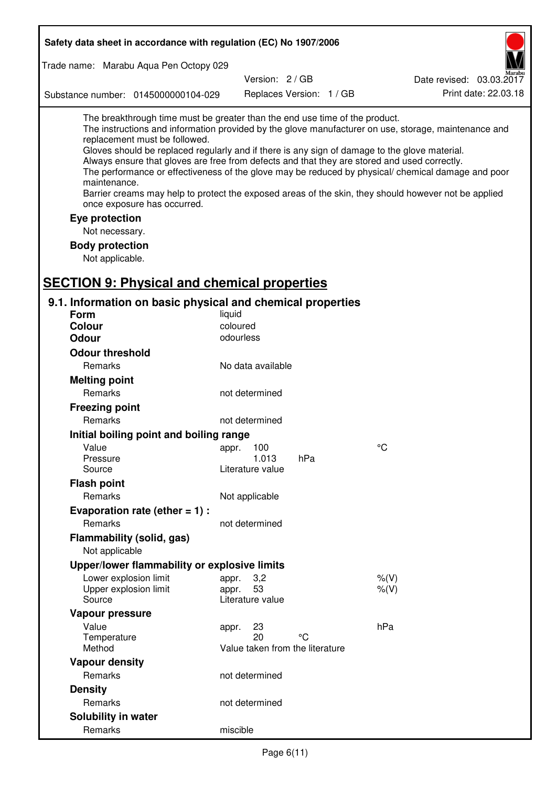| Safety data sheet in accordance with regulation (EC) No 1907/2006                                                                                                                                                                                                                                                                                            |                                       |                          |                                                                                                                                                                                                                                                                                                                    |
|--------------------------------------------------------------------------------------------------------------------------------------------------------------------------------------------------------------------------------------------------------------------------------------------------------------------------------------------------------------|---------------------------------------|--------------------------|--------------------------------------------------------------------------------------------------------------------------------------------------------------------------------------------------------------------------------------------------------------------------------------------------------------------|
| Trade name: Marabu Aqua Pen Octopy 029                                                                                                                                                                                                                                                                                                                       |                                       |                          |                                                                                                                                                                                                                                                                                                                    |
|                                                                                                                                                                                                                                                                                                                                                              | Version: 2/GB                         |                          | Date revised: 03.03.2017                                                                                                                                                                                                                                                                                           |
| Substance number: 0145000000104-029                                                                                                                                                                                                                                                                                                                          |                                       | Replaces Version: 1 / GB | Print date: 22.03.18                                                                                                                                                                                                                                                                                               |
| The breakthrough time must be greater than the end use time of the product.<br>replacement must be followed.<br>Gloves should be replaced regularly and if there is any sign of damage to the glove material.<br>Always ensure that gloves are free from defects and that they are stored and used correctly.<br>maintenance.<br>once exposure has occurred. |                                       |                          | The instructions and information provided by the glove manufacturer on use, storage, maintenance and<br>The performance or effectiveness of the glove may be reduced by physical/ chemical damage and poor<br>Barrier creams may help to protect the exposed areas of the skin, they should however not be applied |
| Eye protection                                                                                                                                                                                                                                                                                                                                               |                                       |                          |                                                                                                                                                                                                                                                                                                                    |
| Not necessary.                                                                                                                                                                                                                                                                                                                                               |                                       |                          |                                                                                                                                                                                                                                                                                                                    |
| <b>Body protection</b>                                                                                                                                                                                                                                                                                                                                       |                                       |                          |                                                                                                                                                                                                                                                                                                                    |
| Not applicable.                                                                                                                                                                                                                                                                                                                                              |                                       |                          |                                                                                                                                                                                                                                                                                                                    |
|                                                                                                                                                                                                                                                                                                                                                              |                                       |                          |                                                                                                                                                                                                                                                                                                                    |
| <b>SECTION 9: Physical and chemical properties</b>                                                                                                                                                                                                                                                                                                           |                                       |                          |                                                                                                                                                                                                                                                                                                                    |
| 9.1. Information on basic physical and chemical properties                                                                                                                                                                                                                                                                                                   |                                       |                          |                                                                                                                                                                                                                                                                                                                    |
| Form                                                                                                                                                                                                                                                                                                                                                         | liquid                                |                          |                                                                                                                                                                                                                                                                                                                    |
| <b>Colour</b>                                                                                                                                                                                                                                                                                                                                                | coloured<br>odourless                 |                          |                                                                                                                                                                                                                                                                                                                    |
| <b>Odour</b>                                                                                                                                                                                                                                                                                                                                                 |                                       |                          |                                                                                                                                                                                                                                                                                                                    |
| <b>Odour threshold</b>                                                                                                                                                                                                                                                                                                                                       |                                       |                          |                                                                                                                                                                                                                                                                                                                    |
| Remarks                                                                                                                                                                                                                                                                                                                                                      | No data available                     |                          |                                                                                                                                                                                                                                                                                                                    |
| <b>Melting point</b>                                                                                                                                                                                                                                                                                                                                         |                                       |                          |                                                                                                                                                                                                                                                                                                                    |
| Remarks                                                                                                                                                                                                                                                                                                                                                      | not determined                        |                          |                                                                                                                                                                                                                                                                                                                    |
| <b>Freezing point</b>                                                                                                                                                                                                                                                                                                                                        |                                       |                          |                                                                                                                                                                                                                                                                                                                    |
| Remarks                                                                                                                                                                                                                                                                                                                                                      | not determined                        |                          |                                                                                                                                                                                                                                                                                                                    |
| Initial boiling point and boiling range                                                                                                                                                                                                                                                                                                                      |                                       |                          |                                                                                                                                                                                                                                                                                                                    |
| Value                                                                                                                                                                                                                                                                                                                                                        | appr. 100                             |                          | $\rm ^{\circ}C$                                                                                                                                                                                                                                                                                                    |
| Pressure<br>Source                                                                                                                                                                                                                                                                                                                                           | 1.013<br>Literature value             | hPa                      |                                                                                                                                                                                                                                                                                                                    |
| <b>Flash point</b>                                                                                                                                                                                                                                                                                                                                           |                                       |                          |                                                                                                                                                                                                                                                                                                                    |
| Remarks                                                                                                                                                                                                                                                                                                                                                      | Not applicable                        |                          |                                                                                                                                                                                                                                                                                                                    |
| Evaporation rate (ether $= 1$ ) :                                                                                                                                                                                                                                                                                                                            |                                       |                          |                                                                                                                                                                                                                                                                                                                    |
| Remarks                                                                                                                                                                                                                                                                                                                                                      | not determined                        |                          |                                                                                                                                                                                                                                                                                                                    |
| Flammability (solid, gas)                                                                                                                                                                                                                                                                                                                                    |                                       |                          |                                                                                                                                                                                                                                                                                                                    |
| Not applicable                                                                                                                                                                                                                                                                                                                                               |                                       |                          |                                                                                                                                                                                                                                                                                                                    |
| Upper/lower flammability or explosive limits                                                                                                                                                                                                                                                                                                                 |                                       |                          |                                                                                                                                                                                                                                                                                                                    |
| Lower explosion limit                                                                                                                                                                                                                                                                                                                                        | 3,2<br>appr.                          |                          | $%$ (V)                                                                                                                                                                                                                                                                                                            |
| Upper explosion limit                                                                                                                                                                                                                                                                                                                                        | 53<br>appr.                           |                          | $%$ (V)                                                                                                                                                                                                                                                                                                            |
| Source                                                                                                                                                                                                                                                                                                                                                       | Literature value                      |                          |                                                                                                                                                                                                                                                                                                                    |
| Vapour pressure                                                                                                                                                                                                                                                                                                                                              |                                       |                          |                                                                                                                                                                                                                                                                                                                    |
| Value                                                                                                                                                                                                                                                                                                                                                        | 23<br>appr.                           |                          | hPa                                                                                                                                                                                                                                                                                                                |
| Temperature<br>Method                                                                                                                                                                                                                                                                                                                                        | 20<br>Value taken from the literature | °C                       |                                                                                                                                                                                                                                                                                                                    |
| <b>Vapour density</b>                                                                                                                                                                                                                                                                                                                                        |                                       |                          |                                                                                                                                                                                                                                                                                                                    |
| Remarks                                                                                                                                                                                                                                                                                                                                                      | not determined                        |                          |                                                                                                                                                                                                                                                                                                                    |
| <b>Density</b>                                                                                                                                                                                                                                                                                                                                               |                                       |                          |                                                                                                                                                                                                                                                                                                                    |
| Remarks                                                                                                                                                                                                                                                                                                                                                      | not determined                        |                          |                                                                                                                                                                                                                                                                                                                    |
| Solubility in water                                                                                                                                                                                                                                                                                                                                          |                                       |                          |                                                                                                                                                                                                                                                                                                                    |
| Remarks                                                                                                                                                                                                                                                                                                                                                      | miscible                              |                          |                                                                                                                                                                                                                                                                                                                    |
|                                                                                                                                                                                                                                                                                                                                                              |                                       |                          |                                                                                                                                                                                                                                                                                                                    |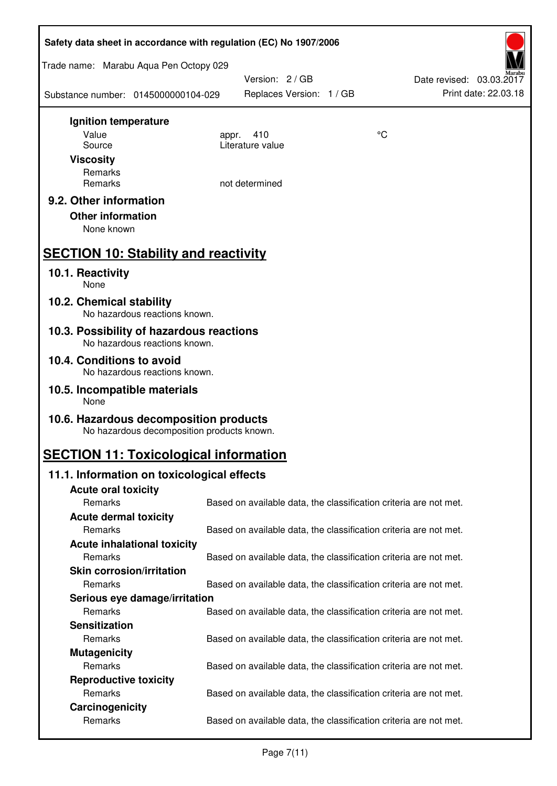| Safety data sheet in accordance with regulation (EC) No 1907/2006                    |                                                                   |    |                                                  |
|--------------------------------------------------------------------------------------|-------------------------------------------------------------------|----|--------------------------------------------------|
| Trade name: Marabu Aqua Pen Octopy 029                                               |                                                                   |    |                                                  |
| Substance number: 0145000000104-029                                                  | Version: 2 / GB<br>Replaces Version: 1 / GB                       |    | Date revised: 03.03.2017<br>Print date: 22.03.18 |
| Ignition temperature                                                                 |                                                                   |    |                                                  |
| Value                                                                                | 410<br>appr.<br>Literature value                                  | °C |                                                  |
| Source<br><b>Viscosity</b>                                                           |                                                                   |    |                                                  |
| Remarks                                                                              |                                                                   |    |                                                  |
| Remarks                                                                              | not determined                                                    |    |                                                  |
| 9.2. Other information<br><b>Other information</b><br>None known                     |                                                                   |    |                                                  |
| <b>SECTION 10: Stability and reactivity</b>                                          |                                                                   |    |                                                  |
| 10.1. Reactivity<br>None                                                             |                                                                   |    |                                                  |
| 10.2. Chemical stability<br>No hazardous reactions known.                            |                                                                   |    |                                                  |
| 10.3. Possibility of hazardous reactions<br>No hazardous reactions known.            |                                                                   |    |                                                  |
| 10.4. Conditions to avoid<br>No hazardous reactions known.                           |                                                                   |    |                                                  |
| 10.5. Incompatible materials<br>None                                                 |                                                                   |    |                                                  |
| 10.6. Hazardous decomposition products<br>No hazardous decomposition products known. |                                                                   |    |                                                  |
| <b>SECTION 11: Toxicological information</b>                                         |                                                                   |    |                                                  |
| 11.1. Information on toxicological effects                                           |                                                                   |    |                                                  |
| <b>Acute oral toxicity</b>                                                           |                                                                   |    |                                                  |
| Remarks                                                                              | Based on available data, the classification criteria are not met. |    |                                                  |
| <b>Acute dermal toxicity</b><br>Remarks                                              |                                                                   |    |                                                  |
| <b>Acute inhalational toxicity</b>                                                   | Based on available data, the classification criteria are not met. |    |                                                  |
| Remarks                                                                              | Based on available data, the classification criteria are not met. |    |                                                  |
| <b>Skin corrosion/irritation</b>                                                     |                                                                   |    |                                                  |
| Remarks                                                                              | Based on available data, the classification criteria are not met. |    |                                                  |
| Serious eye damage/irritation                                                        |                                                                   |    |                                                  |
| Remarks                                                                              | Based on available data, the classification criteria are not met. |    |                                                  |
| <b>Sensitization</b>                                                                 |                                                                   |    |                                                  |
| Remarks                                                                              | Based on available data, the classification criteria are not met. |    |                                                  |
| <b>Mutagenicity</b>                                                                  |                                                                   |    |                                                  |
| Remarks                                                                              | Based on available data, the classification criteria are not met. |    |                                                  |
| <b>Reproductive toxicity</b><br>Remarks                                              | Based on available data, the classification criteria are not met. |    |                                                  |
| Carcinogenicity                                                                      |                                                                   |    |                                                  |
| Remarks                                                                              | Based on available data, the classification criteria are not met. |    |                                                  |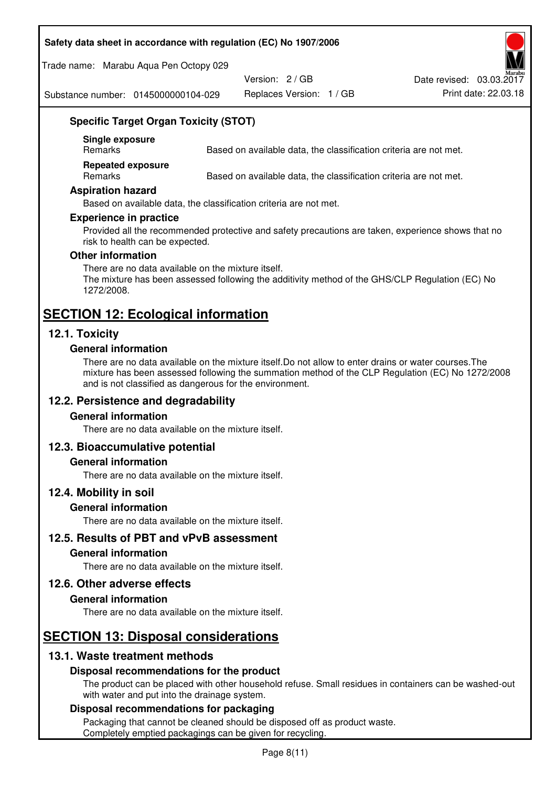#### **Safety data sheet in accordance with regulation (EC) No 1907/2006**

Trade name: Marabu Aqua Pen Octopy 029

Version: 2 / GB

Replaces Version: 1 / GB Print date: 22.03.18 Date revised: 03.03.2017

Substance number: 0145000000104-029

# **Specific Target Organ Toxicity (STOT)**

**Single exposure** 

Based on available data, the classification criteria are not met.

**Repeated exposure** 

Remarks Based on available data, the classification criteria are not met.

#### **Aspiration hazard**

Based on available data, the classification criteria are not met.

#### **Experience in practice**

Provided all the recommended protective and safety precautions are taken, experience shows that no risk to health can be expected.

#### **Other information**

There are no data available on the mixture itself. The mixture has been assessed following the additivity method of the GHS/CLP Regulation (EC) No 1272/2008.

# **SECTION 12: Ecological information**

# **12.1. Toxicity**

#### **General information**

There are no data available on the mixture itself.Do not allow to enter drains or water courses.The mixture has been assessed following the summation method of the CLP Regulation (EC) No 1272/2008 and is not classified as dangerous for the environment.

# **12.2. Persistence and degradability**

#### **General information**

There are no data available on the mixture itself.

#### **12.3. Bioaccumulative potential**

#### **General information**

There are no data available on the mixture itself.

#### **12.4. Mobility in soil**

#### **General information**

There are no data available on the mixture itself.

**12.5. Results of PBT and vPvB assessment** 

#### **General information**

There are no data available on the mixture itself.

#### **12.6. Other adverse effects**

#### **General information**

There are no data available on the mixture itself.

# **SECTION 13: Disposal considerations**

# **13.1. Waste treatment methods**

#### **Disposal recommendations for the product**

The product can be placed with other household refuse. Small residues in containers can be washed-out with water and put into the drainage system.

#### **Disposal recommendations for packaging**

Packaging that cannot be cleaned should be disposed off as product waste. Completely emptied packagings can be given for recycling.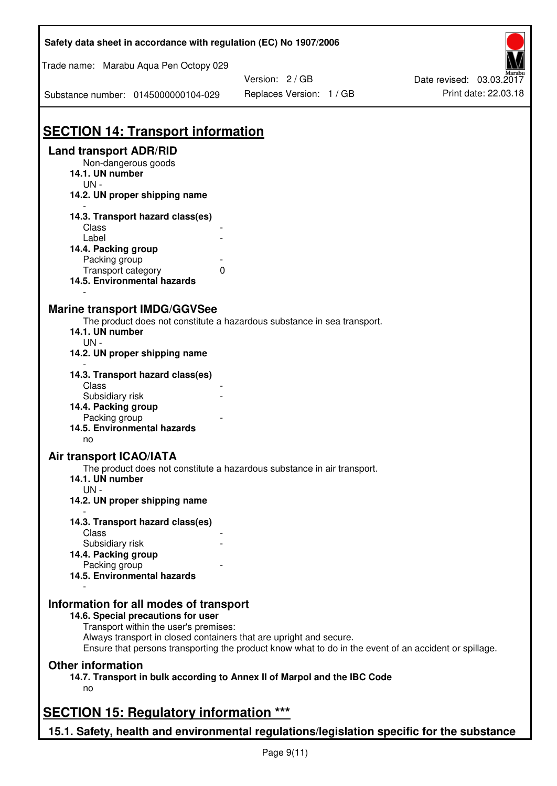| Safety data sheet in accordance with regulation (EC) No 1907/2006                         |                                                                                                       |                          |
|-------------------------------------------------------------------------------------------|-------------------------------------------------------------------------------------------------------|--------------------------|
| Trade name: Marabu Aqua Pen Octopy 029                                                    |                                                                                                       |                          |
|                                                                                           | Version: 2 / GB                                                                                       | Date revised: 03.03.2017 |
| Substance number: 0145000000104-029                                                       | Replaces Version: 1 / GB                                                                              | Print date: 22.03.18     |
|                                                                                           |                                                                                                       |                          |
| <b>SECTION 14: Transport information</b>                                                  |                                                                                                       |                          |
| <b>Land transport ADR/RID</b><br>Non-dangerous goods                                      |                                                                                                       |                          |
| 14.1. UN number<br>$UN -$                                                                 |                                                                                                       |                          |
| 14.2. UN proper shipping name                                                             |                                                                                                       |                          |
| 14.3. Transport hazard class(es)                                                          |                                                                                                       |                          |
| Class                                                                                     |                                                                                                       |                          |
| Label                                                                                     |                                                                                                       |                          |
| 14.4. Packing group<br>Packing group                                                      |                                                                                                       |                          |
| Transport category                                                                        | 0                                                                                                     |                          |
| 14.5. Environmental hazards                                                               |                                                                                                       |                          |
| <b>Marine transport IMDG/GGVSee</b>                                                       |                                                                                                       |                          |
|                                                                                           | The product does not constitute a hazardous substance in sea transport.                               |                          |
| 14.1. UN number                                                                           |                                                                                                       |                          |
| $UN -$                                                                                    |                                                                                                       |                          |
| 14.2. UN proper shipping name                                                             |                                                                                                       |                          |
| 14.3. Transport hazard class(es)                                                          |                                                                                                       |                          |
| Class                                                                                     |                                                                                                       |                          |
| Subsidiary risk                                                                           |                                                                                                       |                          |
| 14.4. Packing group                                                                       |                                                                                                       |                          |
| Packing group<br>14.5. Environmental hazards                                              |                                                                                                       |                          |
| no                                                                                        |                                                                                                       |                          |
| <b>Air transport ICAO/IATA</b>                                                            |                                                                                                       |                          |
|                                                                                           | The product does not constitute a hazardous substance in air transport.                               |                          |
| 14.1. UN number<br>$UN -$                                                                 |                                                                                                       |                          |
| 14.2. UN proper shipping name                                                             |                                                                                                       |                          |
| 14.3. Transport hazard class(es)                                                          |                                                                                                       |                          |
| Class                                                                                     |                                                                                                       |                          |
| Subsidiary risk                                                                           |                                                                                                       |                          |
| 14.4. Packing group                                                                       |                                                                                                       |                          |
| Packing group<br>14.5. Environmental hazards                                              |                                                                                                       |                          |
|                                                                                           |                                                                                                       |                          |
| Information for all modes of transport<br>14.6. Special precautions for user              |                                                                                                       |                          |
| Transport within the user's premises:                                                     |                                                                                                       |                          |
| Always transport in closed containers that are upright and secure.                        |                                                                                                       |                          |
|                                                                                           | Ensure that persons transporting the product know what to do in the event of an accident or spillage. |                          |
| <b>Other information</b>                                                                  |                                                                                                       |                          |
| no                                                                                        | 14.7. Transport in bulk according to Annex II of Marpol and the IBC Code                              |                          |
|                                                                                           |                                                                                                       |                          |
| <b>SECTION 15: Regulatory information ***</b>                                             |                                                                                                       |                          |
| 15.1. Safety, health and environmental regulations/legislation specific for the substance |                                                                                                       |                          |

Ī

٦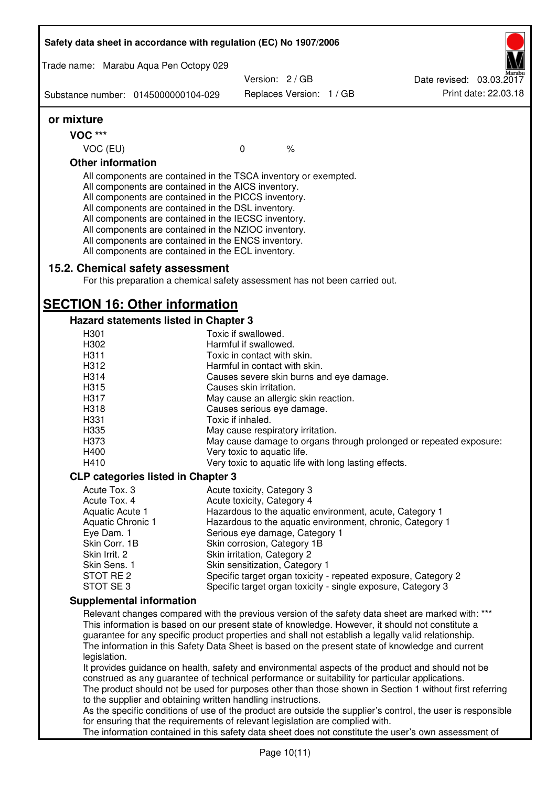|                              | Safety data sheet in accordance with regulation (EC) No 1907/2006                                                                                                                                                                                                                                                                                                                                                                                                 |                                                       |      |                                                                                                                                                                                                                                                                                                                                                                                                                  |
|------------------------------|-------------------------------------------------------------------------------------------------------------------------------------------------------------------------------------------------------------------------------------------------------------------------------------------------------------------------------------------------------------------------------------------------------------------------------------------------------------------|-------------------------------------------------------|------|------------------------------------------------------------------------------------------------------------------------------------------------------------------------------------------------------------------------------------------------------------------------------------------------------------------------------------------------------------------------------------------------------------------|
|                              | Trade name: Marabu Aqua Pen Octopy 029                                                                                                                                                                                                                                                                                                                                                                                                                            | Version: 2/GB                                         |      | Date revised: 03.03.2017                                                                                                                                                                                                                                                                                                                                                                                         |
|                              | Substance number: 0145000000104-029                                                                                                                                                                                                                                                                                                                                                                                                                               | Replaces Version: 1 / GB                              |      | Print date: 22.03.18                                                                                                                                                                                                                                                                                                                                                                                             |
| or mixture                   |                                                                                                                                                                                                                                                                                                                                                                                                                                                                   |                                                       |      |                                                                                                                                                                                                                                                                                                                                                                                                                  |
| <b>VOC ***</b>               |                                                                                                                                                                                                                                                                                                                                                                                                                                                                   |                                                       |      |                                                                                                                                                                                                                                                                                                                                                                                                                  |
| VOC (EU)                     |                                                                                                                                                                                                                                                                                                                                                                                                                                                                   | $\mathbf 0$                                           | $\%$ |                                                                                                                                                                                                                                                                                                                                                                                                                  |
| <b>Other information</b>     |                                                                                                                                                                                                                                                                                                                                                                                                                                                                   |                                                       |      |                                                                                                                                                                                                                                                                                                                                                                                                                  |
|                              | All components are contained in the TSCA inventory or exempted.<br>All components are contained in the AICS inventory.<br>All components are contained in the PICCS inventory.<br>All components are contained in the DSL inventory.<br>All components are contained in the IECSC inventory.<br>All components are contained in the NZIOC inventory.<br>All components are contained in the ENCS inventory.<br>All components are contained in the ECL inventory. |                                                       |      |                                                                                                                                                                                                                                                                                                                                                                                                                  |
|                              | 15.2. Chemical safety assessment<br>For this preparation a chemical safety assessment has not been carried out.                                                                                                                                                                                                                                                                                                                                                   |                                                       |      |                                                                                                                                                                                                                                                                                                                                                                                                                  |
|                              | <b>SECTION 16: Other information</b>                                                                                                                                                                                                                                                                                                                                                                                                                              |                                                       |      |                                                                                                                                                                                                                                                                                                                                                                                                                  |
|                              | Hazard statements listed in Chapter 3                                                                                                                                                                                                                                                                                                                                                                                                                             |                                                       |      |                                                                                                                                                                                                                                                                                                                                                                                                                  |
| H301                         |                                                                                                                                                                                                                                                                                                                                                                                                                                                                   | Toxic if swallowed.                                   |      |                                                                                                                                                                                                                                                                                                                                                                                                                  |
| H302                         |                                                                                                                                                                                                                                                                                                                                                                                                                                                                   | Harmful if swallowed.                                 |      |                                                                                                                                                                                                                                                                                                                                                                                                                  |
| H311                         |                                                                                                                                                                                                                                                                                                                                                                                                                                                                   | Toxic in contact with skin.                           |      |                                                                                                                                                                                                                                                                                                                                                                                                                  |
| H312                         |                                                                                                                                                                                                                                                                                                                                                                                                                                                                   | Harmful in contact with skin.                         |      |                                                                                                                                                                                                                                                                                                                                                                                                                  |
| H314                         |                                                                                                                                                                                                                                                                                                                                                                                                                                                                   | Causes severe skin burns and eye damage.              |      |                                                                                                                                                                                                                                                                                                                                                                                                                  |
| H315                         |                                                                                                                                                                                                                                                                                                                                                                                                                                                                   | Causes skin irritation.                               |      |                                                                                                                                                                                                                                                                                                                                                                                                                  |
| H317                         |                                                                                                                                                                                                                                                                                                                                                                                                                                                                   | May cause an allergic skin reaction.                  |      |                                                                                                                                                                                                                                                                                                                                                                                                                  |
| H318                         |                                                                                                                                                                                                                                                                                                                                                                                                                                                                   | Causes serious eye damage.                            |      |                                                                                                                                                                                                                                                                                                                                                                                                                  |
| H331                         |                                                                                                                                                                                                                                                                                                                                                                                                                                                                   | Toxic if inhaled.                                     |      |                                                                                                                                                                                                                                                                                                                                                                                                                  |
| H335<br>H373                 |                                                                                                                                                                                                                                                                                                                                                                                                                                                                   | May cause respiratory irritation.                     |      |                                                                                                                                                                                                                                                                                                                                                                                                                  |
| H400                         |                                                                                                                                                                                                                                                                                                                                                                                                                                                                   | Very toxic to aquatic life.                           |      | May cause damage to organs through prolonged or repeated exposure:                                                                                                                                                                                                                                                                                                                                               |
| H410                         |                                                                                                                                                                                                                                                                                                                                                                                                                                                                   | Very toxic to aquatic life with long lasting effects. |      |                                                                                                                                                                                                                                                                                                                                                                                                                  |
|                              |                                                                                                                                                                                                                                                                                                                                                                                                                                                                   |                                                       |      |                                                                                                                                                                                                                                                                                                                                                                                                                  |
|                              | <b>CLP categories listed in Chapter 3</b>                                                                                                                                                                                                                                                                                                                                                                                                                         |                                                       |      |                                                                                                                                                                                                                                                                                                                                                                                                                  |
| Acute Tox. 3<br>Acute Tox. 4 |                                                                                                                                                                                                                                                                                                                                                                                                                                                                   | Acute toxicity, Category 3                            |      |                                                                                                                                                                                                                                                                                                                                                                                                                  |
| Aquatic Acute 1              |                                                                                                                                                                                                                                                                                                                                                                                                                                                                   | Acute toxicity, Category 4                            |      | Hazardous to the aquatic environment, acute, Category 1                                                                                                                                                                                                                                                                                                                                                          |
| Aquatic Chronic 1            |                                                                                                                                                                                                                                                                                                                                                                                                                                                                   |                                                       |      | Hazardous to the aquatic environment, chronic, Category 1                                                                                                                                                                                                                                                                                                                                                        |
| Eye Dam. 1                   |                                                                                                                                                                                                                                                                                                                                                                                                                                                                   | Serious eye damage, Category 1                        |      |                                                                                                                                                                                                                                                                                                                                                                                                                  |
| Skin Corr. 1B                |                                                                                                                                                                                                                                                                                                                                                                                                                                                                   | Skin corrosion, Category 1B                           |      |                                                                                                                                                                                                                                                                                                                                                                                                                  |
| Skin Irrit. 2                |                                                                                                                                                                                                                                                                                                                                                                                                                                                                   | Skin irritation, Category 2                           |      |                                                                                                                                                                                                                                                                                                                                                                                                                  |
| Skin Sens. 1                 |                                                                                                                                                                                                                                                                                                                                                                                                                                                                   | Skin sensitization, Category 1                        |      |                                                                                                                                                                                                                                                                                                                                                                                                                  |
| STOT RE 2                    |                                                                                                                                                                                                                                                                                                                                                                                                                                                                   |                                                       |      | Specific target organ toxicity - repeated exposure, Category 2                                                                                                                                                                                                                                                                                                                                                   |
| STOT SE3                     |                                                                                                                                                                                                                                                                                                                                                                                                                                                                   |                                                       |      | Specific target organ toxicity - single exposure, Category 3                                                                                                                                                                                                                                                                                                                                                     |
|                              | <b>Supplemental information</b>                                                                                                                                                                                                                                                                                                                                                                                                                                   |                                                       |      |                                                                                                                                                                                                                                                                                                                                                                                                                  |
|                              |                                                                                                                                                                                                                                                                                                                                                                                                                                                                   |                                                       |      | Relevant changes compared with the previous version of the safety data sheet are marked with: ***<br>This information is based on our present state of knowledge. However, it should not constitute a<br>guarantee for any specific product properties and shall not establish a legally valid relationship.<br>The information in this Safety Data Sheet is based on the present state of knowledge and current |
| legislation.                 | construed as any guarantee of technical performance or suitability for particular applications.                                                                                                                                                                                                                                                                                                                                                                   |                                                       |      | It provides guidance on health, safety and environmental aspects of the product and should not be<br>The product should not be used for purposes other than those shown in Section 1 without first referring                                                                                                                                                                                                     |
|                              | to the supplier and obtaining written handling instructions.                                                                                                                                                                                                                                                                                                                                                                                                      |                                                       |      | As the specific conditions of use of the product are outside the supplier's control, the user is responsible                                                                                                                                                                                                                                                                                                     |
|                              | for ensuring that the requirements of relevant legislation are complied with.                                                                                                                                                                                                                                                                                                                                                                                     |                                                       |      | The information contained in this safety data sheet does not constitute the user's own assessment of                                                                                                                                                                                                                                                                                                             |